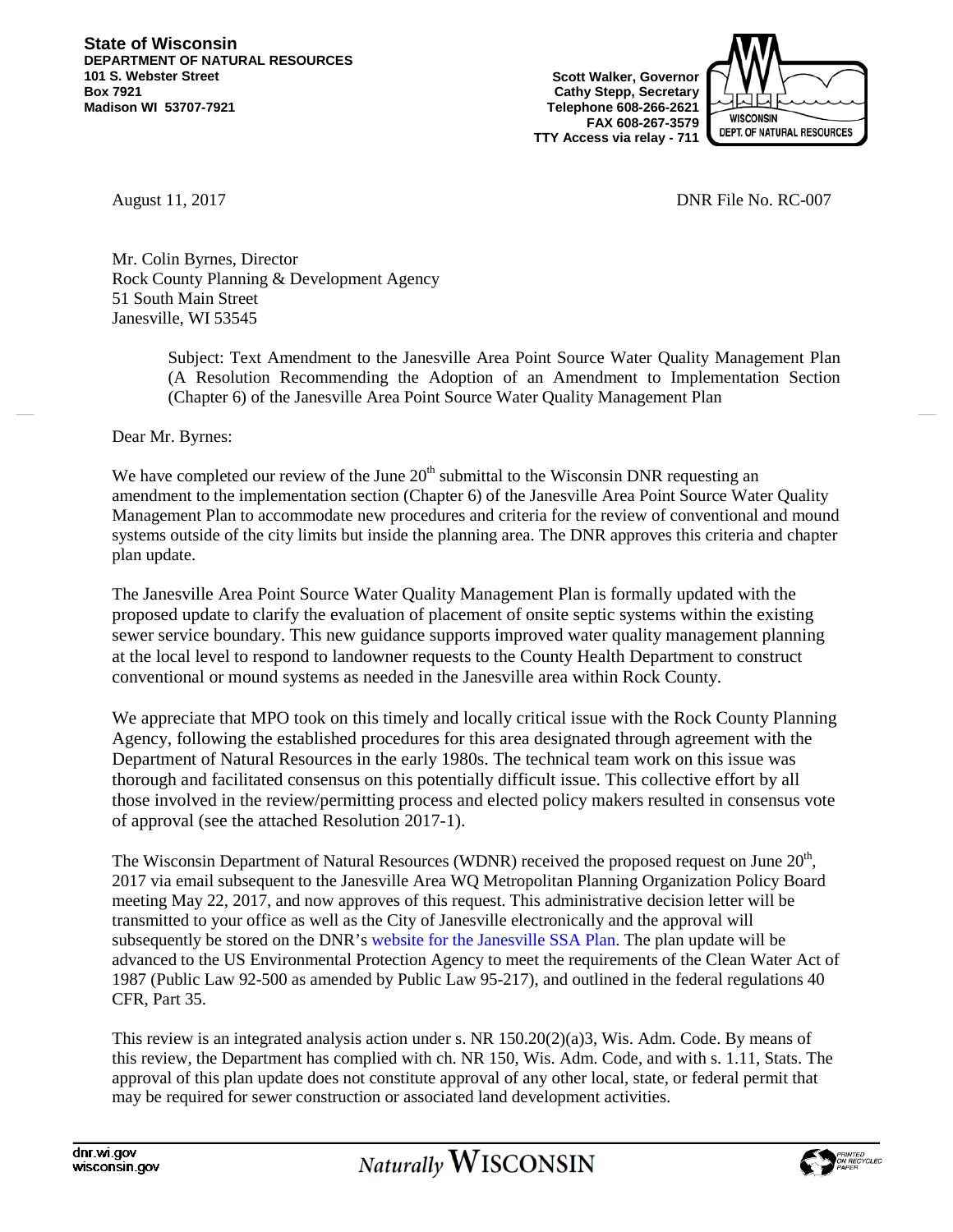**State of Wisconsin DEPARTMENT OF NATURAL RESOURCES 101 S. Webster Street Box 7921 Madison WI 53707-7921**

**Scott Walker, Governor Cathy Stepp, Secretary Telephone 608-266-2621 FAX 608-267-3579 TTY Access via relay - 711**



August 11, 2017 **DNR** File No. RC-007

Mr. Colin Byrnes, Director Rock County Planning & Development Agency 51 South Main Street Janesville, WI 53545

> Subject: Text Amendment to the Janesville Area Point Source Water Quality Management Plan (A Resolution Recommending the Adoption of an Amendment to Implementation Section (Chapter 6) of the Janesville Area Point Source Water Quality Management Plan

Dear Mr. Byrnes:

We have completed our review of the June  $20<sup>th</sup>$  submittal to the Wisconsin DNR requesting an amendment to the implementation section (Chapter 6) of the Janesville Area Point Source Water Quality Management Plan to accommodate new procedures and criteria for the review of conventional and mound systems outside of the city limits but inside the planning area. The DNR approves this criteria and chapter plan update.

The Janesville Area Point Source Water Quality Management Plan is formally updated with the proposed update to clarify the evaluation of placement of onsite septic systems within the existing sewer service boundary. This new guidance supports improved water quality management planning at the local level to respond to landowner requests to the County Health Department to construct conventional or mound systems as needed in the Janesville area within Rock County.

We appreciate that MPO took on this timely and locally critical issue with the Rock County Planning Agency, following the established procedures for this area designated through agreement with the Department of Natural Resources in the early 1980s. The technical team work on this issue was thorough and facilitated consensus on this potentially difficult issue. This collective effort by all those involved in the review/permitting process and elected policy makers resulted in consensus vote of approval (see the attached Resolution 2017-1).

The Wisconsin Department of Natural Resources (WDNR) received the proposed request on June  $20<sup>th</sup>$ , 2017 via email subsequent to the Janesville Area WQ Metropolitan Planning Organization Policy Board meeting May 22, 2017, and now approves of this request. This administrative decision letter will be transmitted to your office as well as the City of Janesville electronically and the approval will subsequently be stored on the DNR's [website for the Janesville SSA Plan. T](http://dnr.wi.gov/water/projectDetail.aspx?key=118549337)he plan update will be advanced to the US Environmental Protection Agency to meet the requirements of the Clean Water Act of 1987 (Public Law 92-500 as amended by Public Law 95-217), and outlined in the federal regulations 40 CFR, Part 35.

This review is an integrated analysis action under s. NR 150.20(2)(a)3, Wis. Adm. Code. By means of this review, the Department has complied with ch. NR 150, Wis. Adm. Code, and with s. 1.11, Stats. The approval of this plan update does not constitute approval of any other local, state, or federal permit that may be required for sewer construction or associated land development activities.